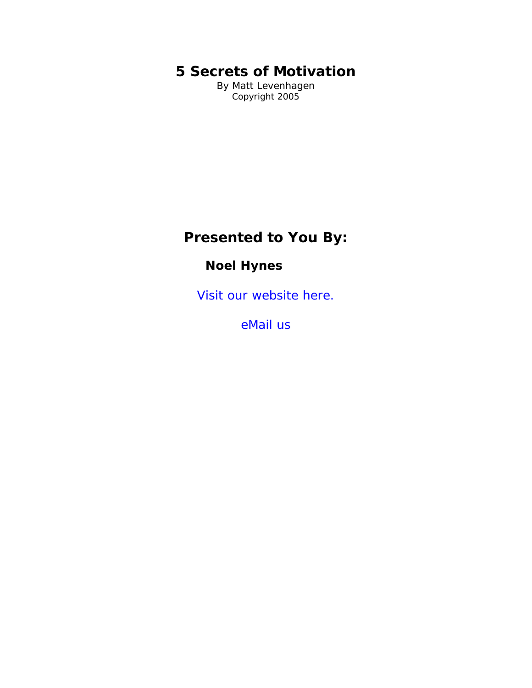# **5 Secrets of Motivation**

By Matt Levenhagen Copyright 2005

# **Presented to You By:**

## **Noel Hynes**

[Visit our website here.](http://ebookdirectory.com)

[eMail us](mailto:admin@ebookdirectory.com)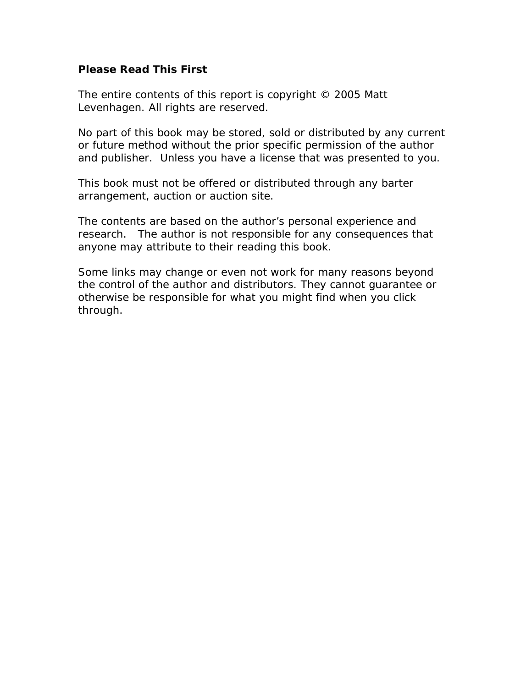#### **Please Read This First**

The entire contents of this report is copyright © 2005 Matt Levenhagen. All rights are reserved.

No part of this book may be stored, sold or distributed by any current or future method without the prior specific permission of the author and publisher. Unless you have a license that was presented to you.

This book must not be offered or distributed through any barter arrangement, auction or auction site.

The contents are based on the author's personal experience and research. The author is not responsible for any consequences that anyone may attribute to their reading this book.

Some links may change or even not work for many reasons beyond the control of the author and distributors. They cannot guarantee or otherwise be responsible for what you might find when you click through.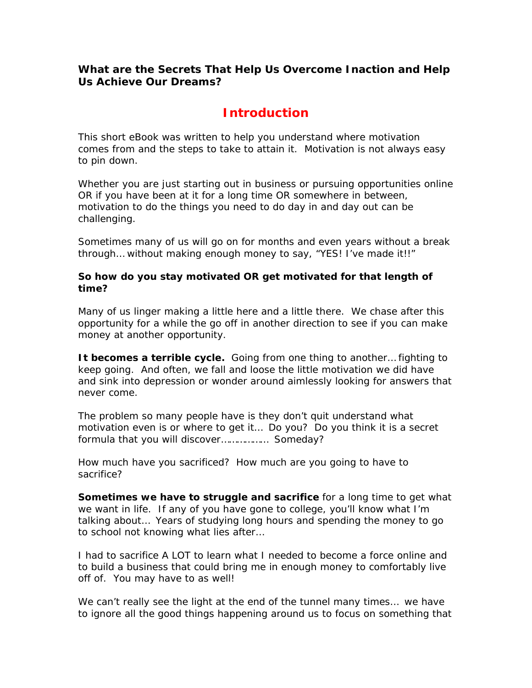### **What are the Secrets That Help Us Overcome Inaction and Help Us Achieve Our Dreams?**

## **Introduction**

This short eBook was written to help you understand where motivation comes from and the steps to take to attain it. Motivation is not always easy to pin down.

Whether you are just starting out in business or pursuing opportunities online OR if you have been at it for a long time OR somewhere in between, motivation to do the things you need to do day in and day out can be challenging.

Sometimes many of us will go on for months and even years without a break through… without making enough money to say, "YES! I've made it!!"

#### **So how do you stay motivated OR get motivated for that length of time?**

Many of us linger making a little here and a little there. We chase after this opportunity for a while the go off in another direction to see if you can make money at another opportunity.

**It becomes a terrible cycle.** Going from one thing to another… fighting to keep going. And often, we fall and loose the little motivation we did have and sink into depression or wonder around aimlessly looking for answers that never come.

The problem so many people have is they don't quit understand what motivation even is or where to get it… Do you? Do you think it is a secret formula that you will discover……………… Someday?

How much have you sacrificed? How much are you going to have to sacrifice?

**Sometimes we have to struggle and sacrifice** for a long time to get what we want in life. If any of you have gone to college, you'll know what I'm talking about… Years of studying long hours and spending the money to go to school not knowing what lies after…

I had to sacrifice A LOT to learn what I needed to become a force online and to build a business that could bring me in enough money to comfortably live off of. You may have to as well!

We can't really see the light at the end of the tunnel many times... we have to ignore all the good things happening around us to focus on something that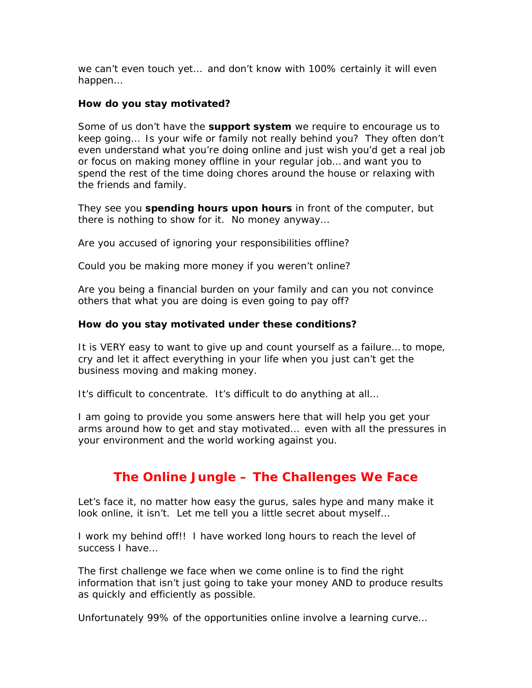we can't even touch yet… and don't know with 100% certainly it will even happen…

#### **How do you stay motivated?**

Some of us don't have the **support system** we require to encourage us to keep going… Is your wife or family not really behind you? They often don't even understand what you're doing online and just wish you'd get a real job or focus on making money offline in your regular job… and want you to spend the rest of the time doing chores around the house or relaxing with the friends and family.

They see you **spending hours upon hours** in front of the computer, but there is nothing to show for it. No money anyway…

Are you accused of ignoring your responsibilities offline?

Could you be making more money if you weren't online?

Are you being a financial burden on your family and can you not convince others that what you are doing is even going to pay off?

#### **How do you stay motivated under these conditions?**

It is VERY easy to want to give up and count yourself as a failure… to mope, cry and let it affect everything in your life when you just can't get the business moving and making money.

It's difficult to concentrate. It's difficult to do anything at all…

I am going to provide you some answers here that will help you get your arms around how to get and stay motivated… even with all the pressures in your environment and the world working against you.

## **The Online Jungle – The Challenges We Face**

Let's face it, no matter how easy the gurus, sales hype and many make it look online, it isn't. Let me tell you a little secret about myself…

I work my behind off!! I have worked long hours to reach the level of success I have…

The first challenge we face when we come online is to find the right information that isn't just going to take your money AND to produce results as quickly and efficiently as possible.

Unfortunately 99% of the opportunities online involve a learning curve…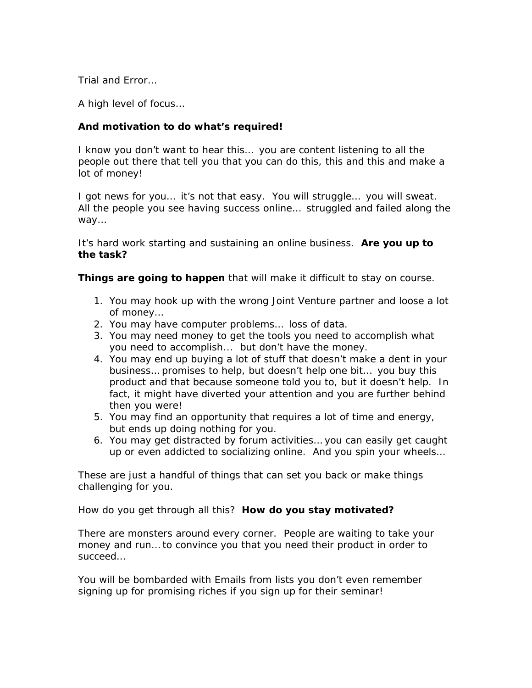Trial and Error…

A high level of focus…

#### **And motivation to do what's required!**

I know you don't want to hear this… you are content listening to all the people out there that tell you that you can do this, this and this and make a lot of money!

I got news for you... it's not that easy. You will struggle... you will sweat. All the people you see having success online… struggled and failed along the way…

It's hard work starting and sustaining an online business. **Are you up to the task?** 

**Things are going to happen** that will make it difficult to stay on course.

- 1. You may hook up with the wrong Joint Venture partner and loose a lot of money…
- 2. You may have computer problems… loss of data.
- 3. You may need money to get the tools you need to accomplish what you need to accomplish... but don't have the money.
- 4. You may end up buying a lot of stuff that doesn't make a dent in your business… promises to help, but doesn't help one bit… you buy this product and that because someone told you to, but it doesn't help. In fact, it might have diverted your attention and you are further behind then you were!
- 5. You may find an opportunity that requires a lot of time and energy, but ends up doing nothing for you.
- 6. You may get distracted by forum activities… you can easily get caught up or even addicted to socializing online. And you spin your wheels…

These are just a handful of things that can set you back or make things challenging for you.

How do you get through all this? **How do you stay motivated?** 

There are monsters around every corner. People are waiting to take your money and run… to convince you that you need their product in order to succeed…

You will be bombarded with Emails from lists you don't even remember signing up for promising riches if you sign up for their seminar!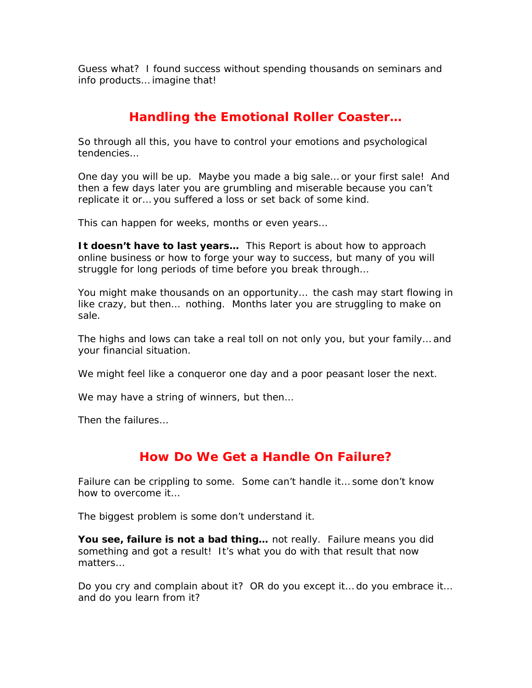Guess what? I found success without spending thousands on seminars and info products… imagine that!

## **Handling the Emotional Roller Coaster…**

So through all this, you have to control your emotions and psychological tendencies…

One day you will be up. Maybe you made a big sale… or your first sale! And then a few days later you are grumbling and miserable because you can't replicate it or… you suffered a loss or set back of some kind.

This can happen for weeks, months or even years…

**It doesn't have to last years…** This Report is about how to approach online business or how to forge your way to success, but many of you will struggle for long periods of time before you break through…

You might make thousands on an opportunity… the cash may start flowing in like crazy, but then… nothing. Months later you are struggling to make on sale.

The highs and lows can take a real toll on not only you, but your family… and your financial situation.

We might feel like a conqueror one day and a poor peasant loser the next.

We may have a string of winners, but then...

Then the failures…

## **How Do We Get a Handle On Failure?**

Failure can be crippling to some. Some can't handle it… some don't know how to overcome it…

The biggest problem is some don't understand it.

**You see, failure is not a bad thing…** not really. Failure means you did something and got a result! It's what you do with that result that now matters…

Do you cry and complain about it? OR do you except it… do you embrace it… and do you learn from it?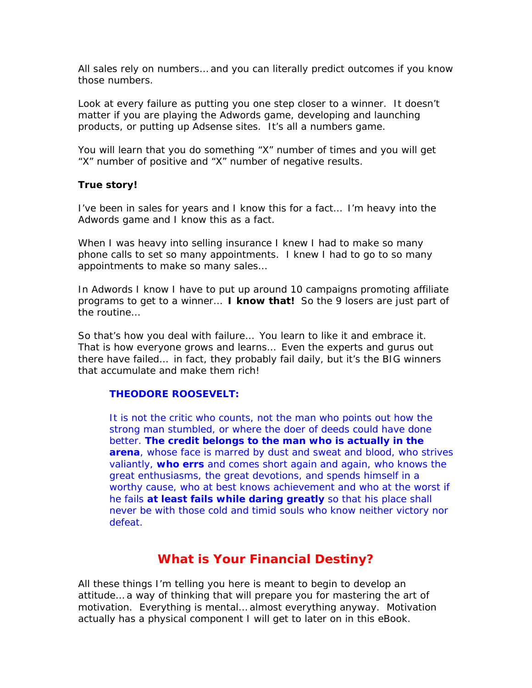All sales rely on numbers… and you can literally predict outcomes if you know those numbers.

Look at every failure as putting you one step closer to a winner. It doesn't matter if you are playing the Adwords game, developing and launching products, or putting up Adsense sites. It's all a numbers game.

You will learn that you do something "X" number of times and you will get "X" number of positive and "X" number of negative results.

#### **True story!**

I've been in sales for years and I know this for a fact… I'm heavy into the Adwords game and I know this as a fact.

When I was heavy into selling insurance I knew I had to make so many phone calls to set so many appointments. I knew I had to go to so many appointments to make so many sales…

In Adwords I know I have to put up around 10 campaigns promoting affiliate programs to get to a winner… **I know that!** So the 9 losers are just part of the routine…

So that's how you deal with failure… You learn to like it and embrace it. That is how everyone grows and learns… Even the experts and gurus out there have failed… in fact, they probably fail daily, but it's the BIG winners that accumulate and make them rich!

#### **[THEODORE ROOSEVELT:](http://www.wisdomquotes.com/001211.html)**

*It is not the critic who counts, not the man who points out how the strong man stumbled, or where the doer of deeds could have done better. The credit belongs to the man who is actually in the arena, whose face is marred by dust and sweat and blood, who strives valiantly, who errs and comes short again and again, who knows the great enthusiasms, the great devotions, and spends himself in a worthy cause, who at best knows achievement and who at the worst if he fails at least fails while daring greatly so that his place shall never be with those cold and timid souls who know neither victory nor defeat.* 

### **What is Your Financial Destiny?**

All these things I'm telling you here is meant to begin to develop an attitude… a way of thinking that will prepare you for mastering the art of motivation. Everything is mental… almost everything anyway. Motivation actually has a physical component I will get to later on in this eBook.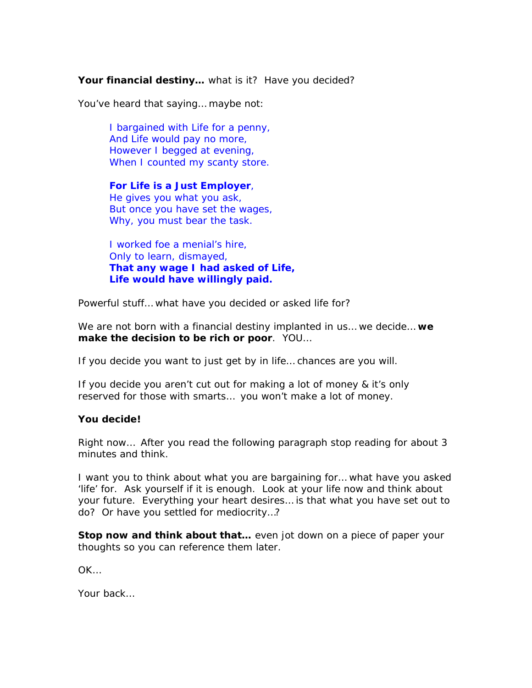#### Your financial destiny... what is it? Have you decided?

You've heard that saying… maybe not:

*I bargained with Life for a penny, And Life would pay no more, However I begged at evening, When I counted my scanty store.* 

*For Life is a Just Employer, He gives you what you ask, But once you have set the wages, Why, you must bear the task.* 

*I worked foe a menial's hire, Only to learn, dismayed, That any wage I had asked of Life, Life would have willingly paid.*

Powerful stuff… what have you decided or asked life for?

We are not born with a financial destiny implanted in us… we decide… **we make the decision to be rich or poor**. YOU…

If you decide you want to just get by in life… chances are you will.

If you decide you aren't cut out for making a lot of money & it's only reserved for those with smarts… you won't make a lot of money.

#### **You decide!**

Right now… After you read the following paragraph stop reading for about 3 minutes and think.

I want you to think about what you are bargaining for… what have you asked 'life' for. Ask yourself if it is enough. Look at your life now and think about your future. Everything your heart desires… is that what you have set out to do? Or have you settled for mediocrity…?

**Stop now and think about that…** even jot down on a piece of paper your thoughts so you can reference them later.

OK…

Your back…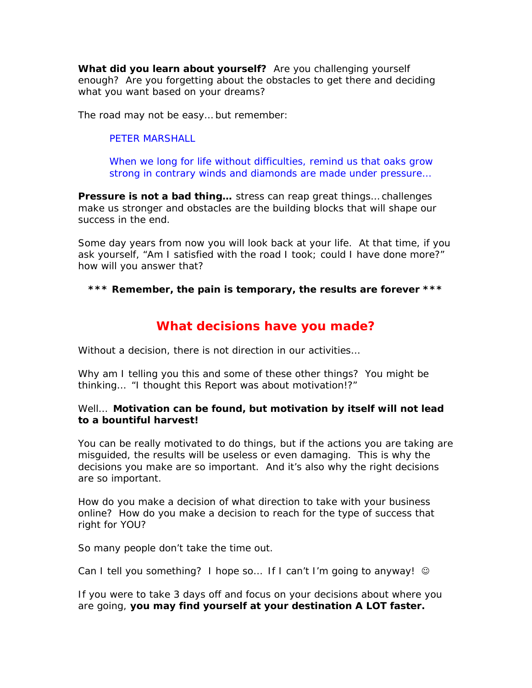**What did you learn about yourself?** Are you challenging yourself enough? Are you forgetting about the obstacles to get there and deciding what you want based on your dreams?

The road may not be easy… but remember:

#### PETER MARSHALL

[When we long for life without difficulties, remind us that oaks grow](http://en.thinkexist.com/quotation/when_we_long_for_life_without_difficulties-remind/161970.html)  [strong in contrary winds and diamonds are made under pressure…](http://en.thinkexist.com/quotation/when_we_long_for_life_without_difficulties-remind/161970.html)

**Pressure is not a bad thing…** stress can reap great things… challenges make us stronger and obstacles are the building blocks that will shape our success in the end.

Some day years from now you will look back at your life. At that time, if you ask yourself, "Am I satisfied with the road I took; could I have done more?" how will you answer that?

**\*\*\* Remember, the pain is temporary, the results are forever \*\*\*** 

## **What decisions have you made?**

Without a decision, there is not direction in our activities…

Why am I telling you this and some of these other things? You might be thinking… "I thought this Report was about motivation!?"

#### Well… **Motivation can be found, but motivation by itself will not lead to a bountiful harvest!**

You can be really motivated to do things, but if the actions you are taking are misguided, the results will be useless or even damaging. This is why the decisions you make are so important. And it's also why the right decisions are so important.

How do you make a decision of what direction to take with your business online? How do you make a decision to reach for the type of success that right for YOU?

So many people don't take the time out.

Can I tell you something? I hope so... If I can't I'm going to anyway! ©

If you were to take 3 days off and focus on your decisions about where you are going, **you may find yourself at your destination A LOT faster.**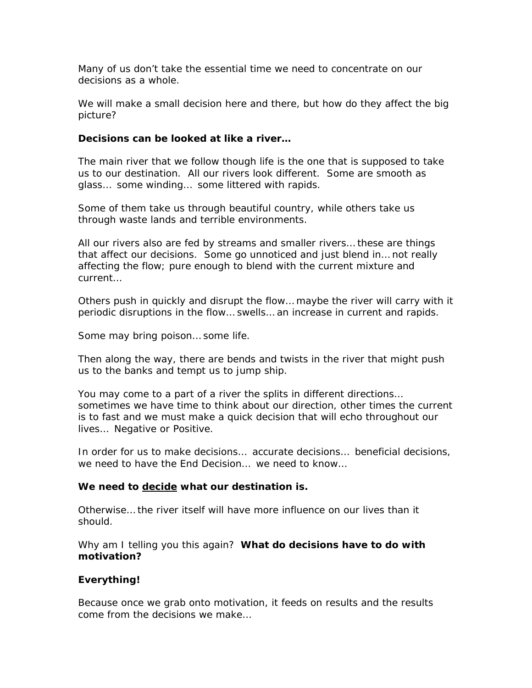Many of us don't take the essential time we need to concentrate on our decisions as a whole.

We will make a small decision here and there, but how do they affect the big picture?

#### **Decisions can be looked at like a river…**

The main river that we follow though life is the one that is supposed to take us to our destination. All our rivers look different. Some are smooth as glass… some winding… some littered with rapids.

Some of them take us through beautiful country, while others take us through waste lands and terrible environments.

All our rivers also are fed by streams and smaller rivers… these are things that affect our decisions. Some go unnoticed and just blend in… not really affecting the flow; pure enough to blend with the current mixture and current…

Others push in quickly and disrupt the flow… maybe the river will carry with it periodic disruptions in the flow… swells… an increase in current and rapids.

Some may bring poison… some life.

Then along the way, there are bends and twists in the river that might push us to the banks and tempt us to jump ship.

You may come to a part of a river the splits in different directions… sometimes we have time to think about our direction, other times the current is to fast and we must make a quick decision that will echo throughout our lives… Negative or Positive.

In order for us to make decisions… accurate decisions… beneficial decisions, we need to have the End Decision… we need to know…

#### **We need to decide what our destination is.**

Otherwise… the river itself will have more influence on our lives than it should.

Why am I telling you this again? **What do decisions have to do with motivation?** 

#### **Everything!**

Because once we grab onto motivation, it feeds on results and the results come from the decisions we make…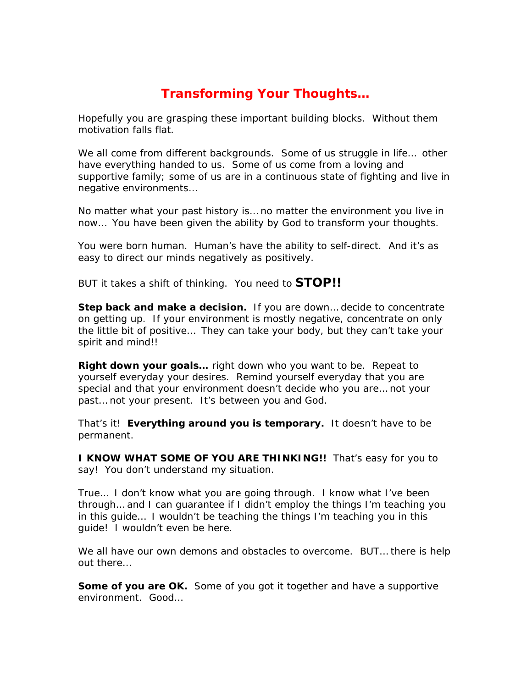## **Transforming Your Thoughts…**

Hopefully you are grasping these important building blocks. Without them motivation falls flat.

We all come from different backgrounds. Some of us struggle in life... other have everything handed to us. Some of us come from a loving and supportive family; some of us are in a continuous state of fighting and live in negative environments…

No matter what your past history is… no matter the environment you live in now… You have been given the ability by God to transform your thoughts.

You were born human. Human's have the ability to self-direct. And it's as easy to direct our minds negatively as positively.

BUT it takes a shift of thinking. You need to **STOP!!** 

**Step back and make a decision.** If you are down… decide to concentrate on getting up. If your environment is mostly negative, concentrate on only the little bit of positive… They can take your body, but they can't take your spirit and mind!!

**Right down your goals…** right down who you want to be. Repeat to yourself everyday your desires. Remind yourself everyday that you are special and that your environment doesn't decide who you are… not your past… not your present. It's between you and God.

That's it! **Everything around you is temporary.** It doesn't have to be permanent.

**I KNOW WHAT SOME OF YOU ARE THINKING!!** That's easy for you to say! You don't understand my situation.

True… I don't know what you are going through. I know what I've been through… and I can guarantee if I didn't employ the things I'm teaching you in this guide… I wouldn't be teaching the things I'm teaching you in this guide! I wouldn't even be here.

We all have our own demons and obstacles to overcome. BUT… there is help out there…

**Some of you are OK.** Some of you got it together and have a supportive environment. Good…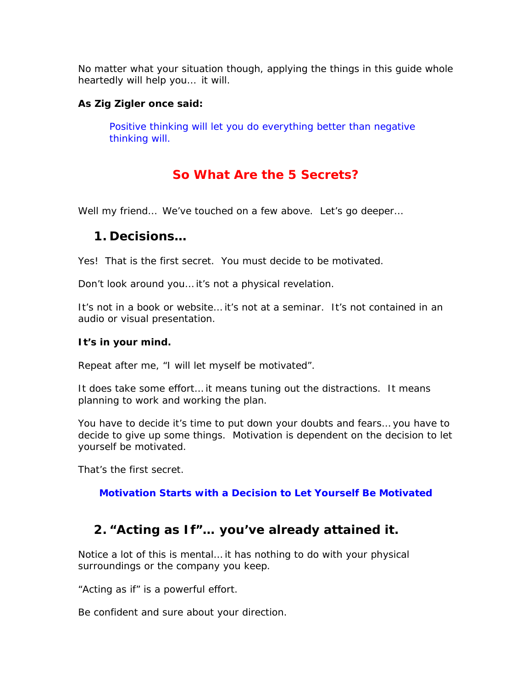No matter what your situation though, applying the things in this guide whole heartedly will help you… it will.

#### **As Zig Zigler once said:**

Positive thinking will let you do everything better than negative thinking will.

## **So What Are the 5 Secrets?**

Well my friend… We've touched on a few above. Let's go deeper…

## **1. Decisions…**

Yes! That is the first secret. You must decide to be motivated.

Don't look around you… it's not a physical revelation.

It's not in a book or website… it's not at a seminar. It's not contained in an audio or visual presentation.

#### **It's in your mind.**

Repeat after me, "I will let myself be motivated".

It does take some effort… it means tuning out the distractions. It means planning to work and working the plan.

You have to decide it's time to put down your doubts and fears… you have to decide to give up some things. Motivation is dependent on the decision to let yourself be motivated.

That's the first secret.

**Motivation Starts with a Decision to Let Yourself Be Motivated** 

## **2. "Acting as If"… you've already attained it.**

Notice a lot of this is mental… it has nothing to do with your physical surroundings or the company you keep.

"Acting as if" is a powerful effort.

Be confident and sure about your direction.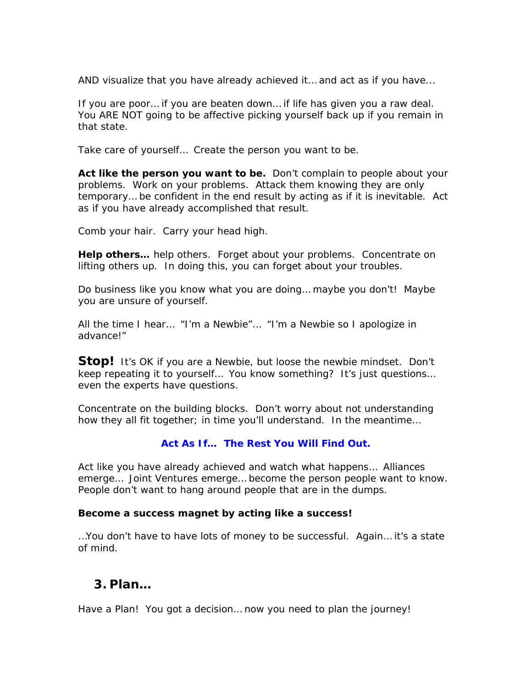AND visualize that you have already achieved it… and act as if you have...

If you are poor… if you are beaten down… if life has given you a raw deal. You ARE NOT going to be affective picking yourself back up if you remain in that state.

Take care of yourself… Create the person you want to be.

**Act like the person you want to be.** Don't complain to people about your problems. Work on your problems. Attack them knowing they are only temporary… be confident in the end result by acting as if it is inevitable. Act as if you have already accomplished that result.

Comb your hair. Carry your head high.

**Help others…** help others. Forget about your problems. Concentrate on lifting others up. In doing this, you can forget about your troubles.

Do business like you know what you are doing… maybe you don't! Maybe you are unsure of yourself.

All the time I hear… "I'm a Newbie"… "I'm a Newbie so I apologize in advance!"

**Stop!** It's OK if you are a Newbie, but loose the newbie mindset. Don't keep repeating it to yourself… You know something? It's just questions… even the experts have questions.

Concentrate on the building blocks. Don't worry about not understanding how they all fit together; in time you'll understand. In the meantime…

#### **Act As If… The Rest You Will Find Out.**

Act like you have already achieved and watch what happens… Alliances emerge… Joint Ventures emerge… become the person people want to know. People don't want to hang around people that are in the dumps.

#### **Become a success magnet by acting like a success!**

…You don't have to have lots of money to be successful. Again… it's a state of mind.

## **3. Plan…**

Have a Plan! You got a decision… now you need to plan the journey!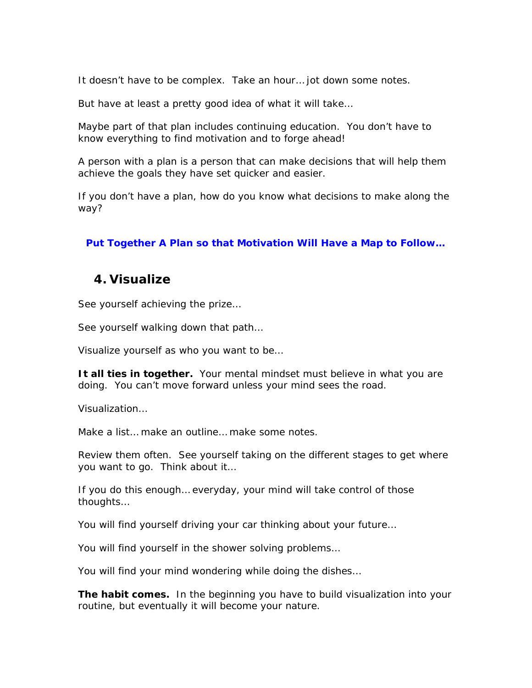It doesn't have to be complex. Take an hour… jot down some notes.

But have at least a pretty good idea of what it will take…

Maybe part of that plan includes continuing education. You don't have to know everything to find motivation and to forge ahead!

A person with a plan is a person that can make decisions that will help them achieve the goals they have set quicker and easier.

If you don't have a plan, how do you know what decisions to make along the way?

#### **Put Together A Plan so that Motivation Will Have a Map to Follow…**

### **4. Visualize**

See yourself achieving the prize…

See yourself walking down that path…

Visualize yourself as who you want to be…

**It all ties in together.** Your mental mindset must believe in what you are doing. You can't move forward unless your mind sees the road.

Visualization…

Make a list… make an outline… make some notes.

Review them often. See yourself taking on the different stages to get where you want to go. Think about it…

If you do this enough… everyday, your mind will take control of those thoughts…

You will find yourself driving your car thinking about your future…

You will find yourself in the shower solving problems…

You will find your mind wondering while doing the dishes…

**The habit comes.** In the beginning you have to build visualization into your routine, but eventually it will become your nature.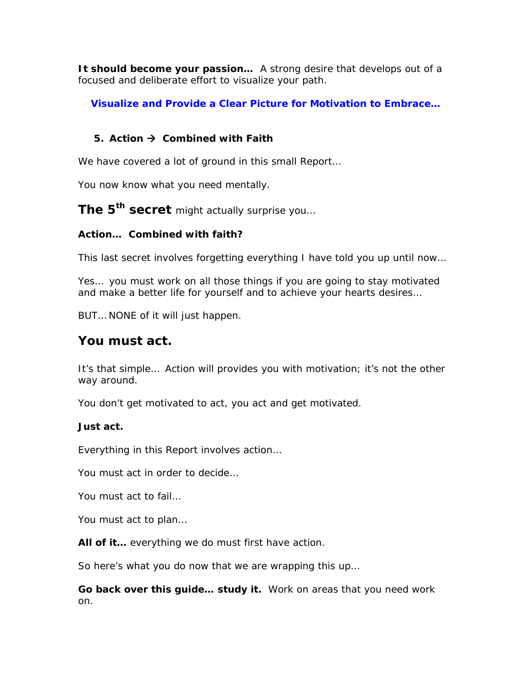**It should become your passion…** A strong desire that develops out of a focused and deliberate effort to visualize your path.

**Visualize and Provide a Clear Picture for Motivation to Embrace…** 

## **5.** Action → Combined with Faith

We have covered a lot of ground in this small Report…

You now know what you need mentally.

**The 5th secret** might actually surprise you…

### **Action… Combined with faith?**

This last secret involves forgetting everything I have told you up until now…

Yes… you must work on all those things if you are going to stay motivated and make a better life for yourself and to achieve your hearts desires…

BUT… NONE of it will just happen.

## **You must act.**

It's that simple… Action will provides you with motivation; it's not the other way around.

You don't get motivated to act, you act and get motivated.

#### **Just act.**

Everything in this Report involves action…

You must act in order to decide…

You must act to fail…

You must act to plan…

**All of it…** everything we do must first have action.

So here's what you do now that we are wrapping this up…

**Go back over this guide… study it.** Work on areas that you need work on.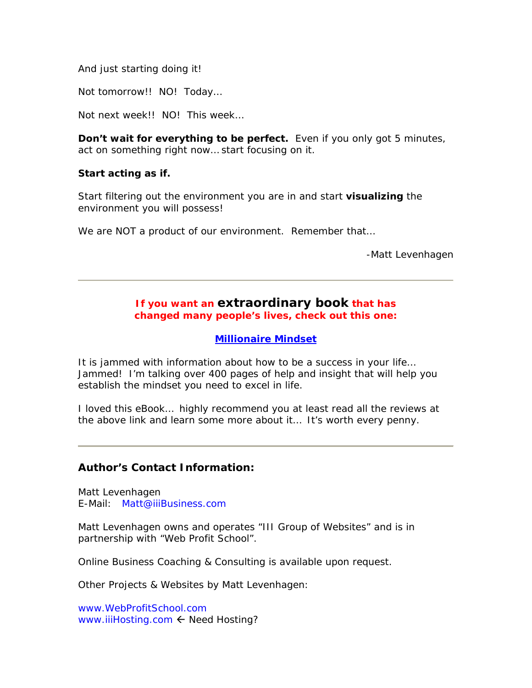And just starting doing it!

Not tomorrow!! NO! Today…

Not next week!! NO! This week…

**Don't wait for everything to be perfect.** Even if you only got 5 minutes, act on something right now… start focusing on it.

#### **Start acting as if.**

Start filtering out the environment you are in and start **visualizing** the environment you will possess!

We are NOT a product of our environment. Remember that...

-Matt Levenhagen

#### **If you want an extraordinary book that has changed many people's lives, check out this one:**

#### **[Millionaire Mindset](http://moneywise.vitale.hop.clickbank.net/)**

It is jammed with information about how to be a success in your life… Jammed! I'm talking over 400 pages of help and insight that will help you establish the mindset you need to excel in life.

I loved this eBook… highly recommend you at least read all the reviews at the above link and learn some more about it… It's worth every penny.

#### **Author's Contact Information:**

Matt Levenhagen E-Mail: [Matt@iiiBusiness.com](mailto:Matt@iiiBusiness.com)

Matt Levenhagen owns and operates "III Group of Websites" and is in partnership with "Web Profit School".

Online Business Coaching & Consulting is available upon request.

Other Projects & Websites by Matt Levenhagen:

[www.WebProfitSchool.com](http://www.webprofitschool.com/) [www.iiiHosting.com](http://www.iiihosting.com/)  $\leftarrow$  Need Hosting?